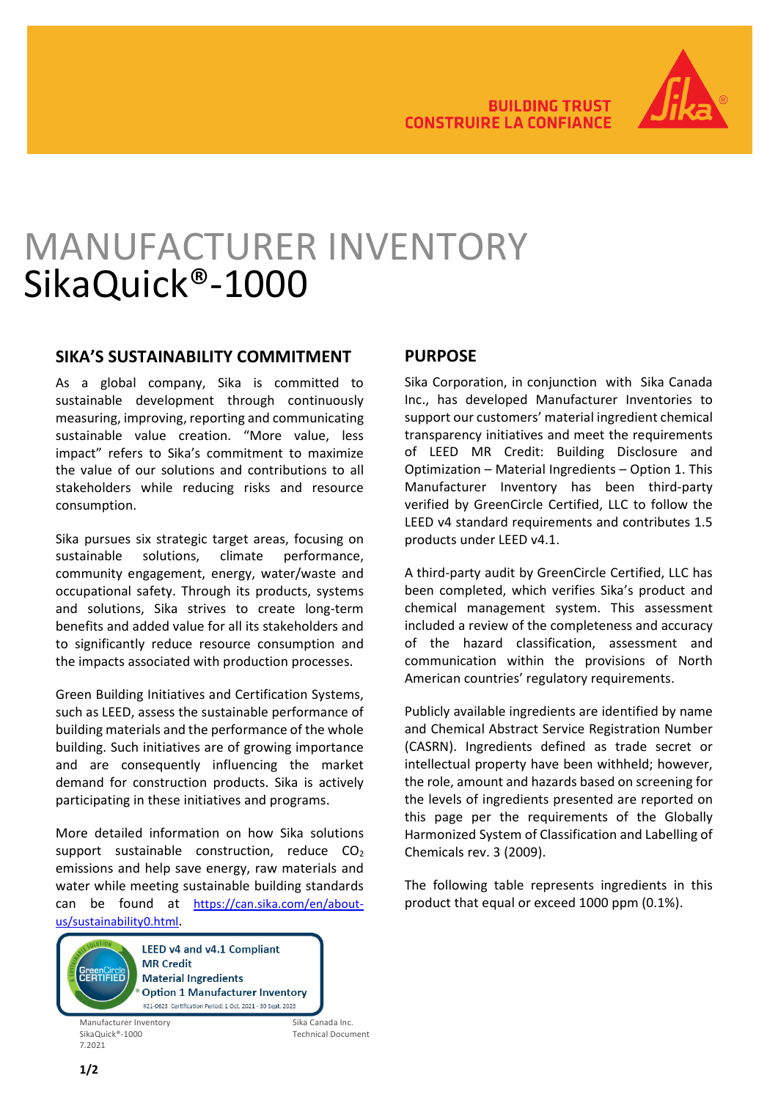

# MANUFACTURER INVENTORY SikaQuick®-1000

### **SIKA'S SUSTAINABILITY COMMITMENT**

As a global company, Sika is committed to sustainable development through continuously measuring, improving, reporting and communicating sustainable value creation. "More value, less impact" refers to Sika's commitment to maximize the value of our solutions and contributions to all stakeholders while reducing risks and resource consumption.

Sika pursues six strategic target areas, focusing on sustainable solutions, climate performance, community engagement, energy, water/waste and occupational safety. Through its products, systems and solutions, Sika strives to create long-term benefits and added value for all its stakeholders and to significantly reduce resource consumption and the impacts associated with production processes.

Green Building Initiatives and Certification Systems, such as LEED, assess the sustainable performance of building materials and the performance of the whole building. Such initiatives are of growing importance and are consequently influencing the market demand for construction products. Sika is actively participating in these initiatives and programs.

More detailed information on how Sika solutions support sustainable construction, reduce  $CO<sub>2</sub>$ emissions and help save energy, raw materials and water while meeting sustainable building standards can be found at [https://can.sika.com/en/about](https://can.sika.com/en/about-us/sustainability0.html)[us/sustainability0.html.](https://can.sika.com/en/about-us/sustainability0.html)



Manufacturer Inventory<br>Sika Quick®-1000 Sika Canada Inc.<br>Technical Docur 7.2021

Technical Document

## **PURPOSE**

Sika Corporation, in conjunction with Sika Canada Inc., has developed Manufacturer Inventories to support our customers' material ingredient chemical transparency initiatives and meet the requirements of LEED MR Credit: Building Disclosure and Optimization – Material Ingredients – Option 1. This Manufacturer Inventory has been third-party verified by GreenCircle Certified, LLC to follow the LEED v4 standard requirements and contributes 1.5 products under LEED v4.1.

A third-party audit by GreenCircle Certified, LLC has been completed, which verifies Sika's product and chemical management system. This assessment included a review of the completeness and accuracy of the hazard classification, assessment and communication within the provisions of North American countries' regulatory requirements.

Publicly available ingredients are identified by name and Chemical Abstract Service Registration Number (CASRN). Ingredients defined as trade secret or intellectual property have been withheld; however, the role, amount and hazards based on screening for the levels of ingredients presented are reported on this page per the requirements of the Globally Harmonized System of Classification and Labelling of Chemicals rev. 3 (2009).

The following table represents ingredients in this product that equal or exceed 1000 ppm (0.1%).